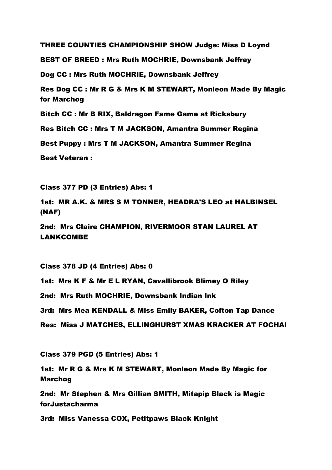THREE COUNTIES CHAMPIONSHIP SHOW Judge: Miss D Loynd BEST OF BREED : Mrs Ruth MOCHRIE, Downsbank Jeffrey Dog CC : Mrs Ruth MOCHRIE, Downsbank Jeffrey Res Dog CC : Mr R G & Mrs K M STEWART, Monleon Made By Magic for Marchog Bitch CC : Mr B RIX, Baldragon Fame Game at Ricksbury Res Bitch CC : Mrs T M JACKSON, Amantra Summer Regina Best Puppy : Mrs T M JACKSON, Amantra Summer Regina Best Veteran :

Class 377 PD (3 Entries) Abs: 1

1st: MR A.K. & MRS S M TONNER, HEADRA'S LEO at HALBINSEL (NAF)

2nd: Mrs Claire CHAMPION, RIVERMOOR STAN LAUREL AT LANKCOMBE

Class 378 JD (4 Entries) Abs: 0

1st: Mrs K F & Mr E L RYAN, Cavallibrook Blimey O Riley

2nd: Mrs Ruth MOCHRIE, Downsbank Indian Ink

3rd: Mrs Mea KENDALL & Miss Emily BAKER, Cofton Tap Dance

Res: Miss J MATCHES, ELLINGHURST XMAS KRACKER AT FOCHAI

Class 379 PGD (5 Entries) Abs: 1

1st: Mr R G & Mrs K M STEWART, Monleon Made By Magic for Marchog

2nd: Mr Stephen & Mrs Gillian SMITH, Mitapip Black is Magic forJustacharma

3rd: Miss Vanessa COX, Petitpaws Black Knight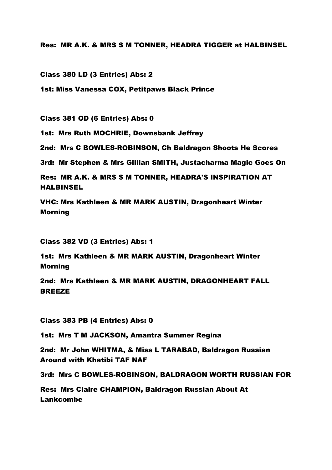Res: MR A.K. & MRS S M TONNER, HEADRA TIGGER at HALBINSEL

Class 380 LD (3 Entries) Abs: 2

1st: Miss Vanessa COX, Petitpaws Black Prince

Class 381 OD (6 Entries) Abs: 0

1st: Mrs Ruth MOCHRIE, Downsbank Jeffrey

2nd: Mrs C BOWLES-ROBINSON, Ch Baldragon Shoots He Scores

3rd: Mr Stephen & Mrs Gillian SMITH, Justacharma Magic Goes On

Res: MR A.K. & MRS S M TONNER, HEADRA'S INSPIRATION AT HALBINSEL

VHC: Mrs Kathleen & MR MARK AUSTIN, Dragonheart Winter Morning

Class 382 VD (3 Entries) Abs: 1

1st: Mrs Kathleen & MR MARK AUSTIN, Dragonheart Winter Morning

2nd: Mrs Kathleen & MR MARK AUSTIN, DRAGONHEART FALL BREEZE

Class 383 PB (4 Entries) Abs: 0

1st: Mrs T M JACKSON, Amantra Summer Regina

2nd: Mr John WHITMA, & Miss L TARABAD, Baldragon Russian Around with Khatibi TAF NAF

3rd: Mrs C BOWLES-ROBINSON, BALDRAGON WORTH RUSSIAN FOR

Res: Mrs Claire CHAMPION, Baldragon Russian About At Lankcombe